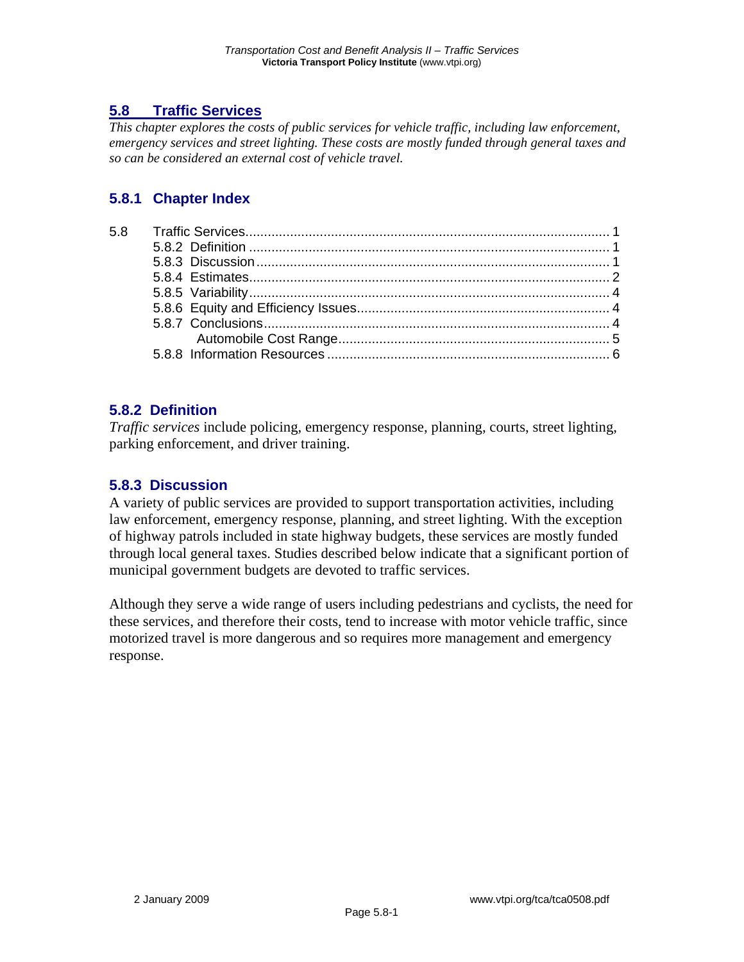## **5.8 Traffic Services**

*This chapter explores the costs of public services for vehicle traffic, including law enforcement, emergency services and street lighting. These costs are mostly funded through general taxes and so can be considered an external cost of vehicle travel.* 

## **5.8.1 Chapter Index**

| 5.8 |  |
|-----|--|
|     |  |
|     |  |
|     |  |
|     |  |
|     |  |
|     |  |
|     |  |
|     |  |
|     |  |

### **5.8.2 Definition**

*Traffic services* include policing, emergency response, planning, courts, street lighting, parking enforcement, and driver training.

#### **5.8.3 Discussion**

A variety of public services are provided to support transportation activities, including law enforcement, emergency response, planning, and street lighting. With the exception of highway patrols included in state highway budgets, these services are mostly funded through local general taxes. Studies described below indicate that a significant portion of municipal government budgets are devoted to traffic services.

Although they serve a wide range of users including pedestrians and cyclists, the need for these services, and therefore their costs, tend to increase with motor vehicle traffic, since motorized travel is more dangerous and so requires more management and emergency response.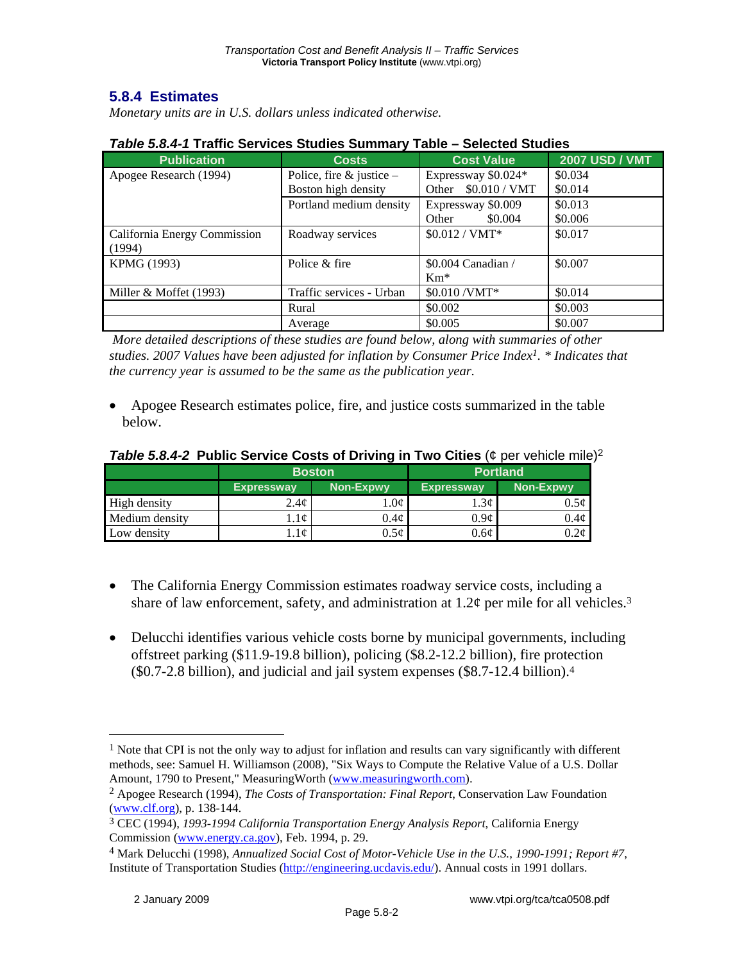#### **5.8.4 Estimates**

*Monetary units are in U.S. dollars unless indicated otherwise.* 

| <b>Publication</b>                                   | <b>Costs</b>                | <b>Cost Value</b>   | <b>2007 USD / VMT</b> |  |
|------------------------------------------------------|-----------------------------|---------------------|-----------------------|--|
| Apogee Research (1994)                               | Police, fire $\&$ justice – | Expressway \$0.024* | \$0.034               |  |
|                                                      | Boston high density         | Other \$0.010 / VMT | \$0.014               |  |
|                                                      | Portland medium density     | Expressway \$0.009  | \$0.013               |  |
|                                                      |                             | \$0.004<br>Other    | \$0.006               |  |
| California Energy Commission<br>Roadway services     |                             | \$0.012 / VMT*      | \$0.017               |  |
| (1994)                                               |                             |                     |                       |  |
| KPMG (1993)                                          | Police & fire               | $$0.004$ Canadian / | \$0.007               |  |
|                                                      |                             | $Km^*$              |                       |  |
| Traffic services - Urban<br>Miller $&$ Moffet (1993) |                             | \$0.010/VMT*        | \$0.014               |  |
|                                                      | Rural                       | \$0.002             | \$0.003               |  |
|                                                      | Average                     | \$0.005             | \$0.007               |  |

| Table 5.8.4-1 Traffic Services Studies Summary Table - Selected Studies |  |
|-------------------------------------------------------------------------|--|
|-------------------------------------------------------------------------|--|

 *More detailed descriptions of these studies are found below, along with summaries of other studies. 2007 Values have been adjusted for inflation by Consumer Price Index1. \* Indicates that the currency year is assumed to be the same as the publication year.* 

• Apogee Research estimates police, fire, and justice costs summarized in the table below.

|  |  |  |  | Table 5.8.4-2 Public Service Costs of Driving in Two Cities ( $\varphi$ per vehicle mile) <sup>2</sup> |
|--|--|--|--|--------------------------------------------------------------------------------------------------------|
|--|--|--|--|--------------------------------------------------------------------------------------------------------|

|                | <b>Boston</b>     |                  | <b>Portland</b>   |                  |
|----------------|-------------------|------------------|-------------------|------------------|
|                | <b>Expressway</b> | <b>Non-Expwy</b> | <b>Expressway</b> | <b>Non-Expwy</b> |
| High density   | 2.4¢              | $1.0\phi$        | 1.3 <sub>c</sub>  | $0.5\ell$        |
| Medium density | $1.1\sigma$       | $0.4\sigma$      | 0.9c              | $0.4\sigma$      |
| Low density    | $1.1\mathcal{C}$  | $0.5\phi$        | $0.6\mathcal{C}$  | $0.2\phi$        |

- The California Energy Commission estimates roadway service costs, including a share of law enforcement, safety, and administration at  $1.2\phi$  per mile for all vehicles.<sup>3</sup>
- Delucchi identifies various vehicle costs borne by municipal governments, including offstreet parking (\$11.9-19.8 billion), policing (\$8.2-12.2 billion), fire protection (\$0.7-2.8 billion), and judicial and jail system expenses (\$8.7-12.4 billion).4

 $\overline{a}$ 

 $<sup>1</sup>$  Note that CPI is not the only way to adjust for inflation and results can vary significantly with different</sup> methods, see: Samuel H. Williamson (2008), "Six Ways to Compute the Relative Value of a U.S. Dollar Amount, 1790 to Present," MeasuringWorth (www.measuringworth.com).

<sup>2</sup> Apogee Research (1994), *The Costs of Transportation: Final Report*, Conservation Law Foundation (www.clf.org), p. 138-144.

<sup>3</sup> CEC (1994), *1993-1994 California Transportation Energy Analysis Report*, California Energy Commission (www.energy.ca.gov), Feb. 1994, p. 29.

<sup>4</sup> Mark Delucchi (1998), *Annualized Social Cost of Motor-Vehicle Use in the U.S., 1990-1991; Report #7*, Institute of Transportation Studies (http://engineering.ucdavis.edu/). Annual costs in 1991 dollars.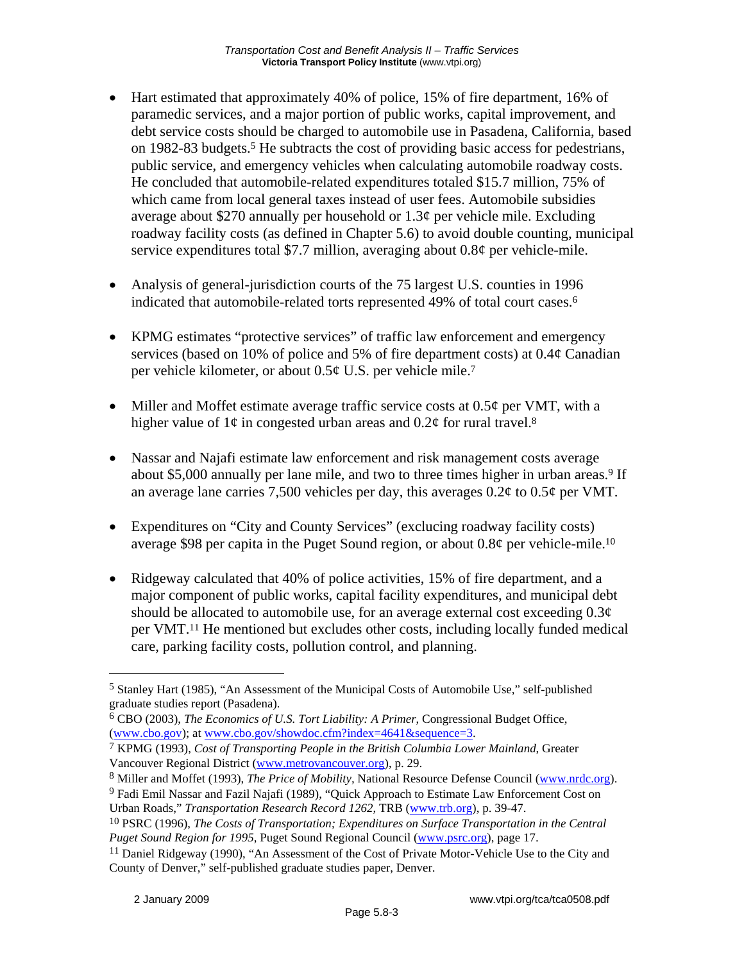- Hart estimated that approximately 40% of police, 15% of fire department, 16% of paramedic services, and a major portion of public works, capital improvement, and debt service costs should be charged to automobile use in Pasadena, California, based on 1982-83 budgets.5 He subtracts the cost of providing basic access for pedestrians, public service, and emergency vehicles when calculating automobile roadway costs. He concluded that automobile-related expenditures totaled \$15.7 million, 75% of which came from local general taxes instead of user fees. Automobile subsidies average about \$270 annually per household or  $1.3\phi$  per vehicle mile. Excluding roadway facility costs (as defined in Chapter 5.6) to avoid double counting, municipal service expenditures total \$7.7 million, averaging about  $0.8¢$  per vehicle-mile.
- Analysis of general-jurisdiction courts of the 75 largest U.S. counties in 1996 indicated that automobile-related torts represented 49% of total court cases.6
- KPMG estimates "protective services" of traffic law enforcement and emergency services (based on 10% of police and 5% of fire department costs) at 0.4¢ Canadian per vehicle kilometer, or about  $0.5¢$  U.S. per vehicle mile.<sup>7</sup>
- Miller and Moffet estimate average traffic service costs at  $0.5\phi$  per VMT, with a higher value of  $1¢$  in congested urban areas and  $0.2¢$  for rural travel.<sup>8</sup>
- Nassar and Najafi estimate law enforcement and risk management costs average about \$5,000 annually per lane mile, and two to three times higher in urban areas.<sup>9</sup> If an average lane carries 7,500 vehicles per day, this averages 0.2¢ to 0.5¢ per VMT.
- Expenditures on "City and County Services" (exclucing roadway facility costs) average \$98 per capita in the Puget Sound region, or about 0.8¢ per vehicle-mile.10
- Ridgeway calculated that 40% of police activities, 15% of fire department, and a major component of public works, capital facility expenditures, and municipal debt should be allocated to automobile use, for an average external cost exceeding  $0.3¢$ per VMT.11 He mentioned but excludes other costs, including locally funded medical care, parking facility costs, pollution control, and planning.

1

<sup>5</sup> Stanley Hart (1985), "An Assessment of the Municipal Costs of Automobile Use," self-published graduate studies report (Pasadena).

<sup>6</sup> CBO (2003), *The Economics of U.S. Tort Liability: A Primer*, Congressional Budget Office, (www.cbo.gov); at www.cbo.gov/showdoc.cfm?index=4641&sequence=3. 7 KPMG (1993), *Cost of Transporting People in the British Columbia Lower Mainland*, Greater

Vancouver Regional District (www.metrovancouver.org), p. 29.

<sup>8</sup> Miller and Moffet (1993), *The Price of Mobility,* National Resource Defense Council (www.nrdc.org). 9 Fadi Emil Nassar and Fazil Najafi (1989), "Quick Approach to Estimate Law Enforcement Cost on

Urban Roads," *Transportation Research Record 1262*, TRB (www.trb.org), p. 39-47.

<sup>10</sup> PSRC (1996), *The Costs of Transportation; Expenditures on Surface Transportation in the Central Puget Sound Region for 1995*, Puget Sound Regional Council (www.psrc.org), page 17.

<sup>&</sup>lt;sup>11</sup> Daniel Ridgeway (1990), "An Assessment of the Cost of Private Motor-Vehicle Use to the City and County of Denver," self-published graduate studies paper, Denver.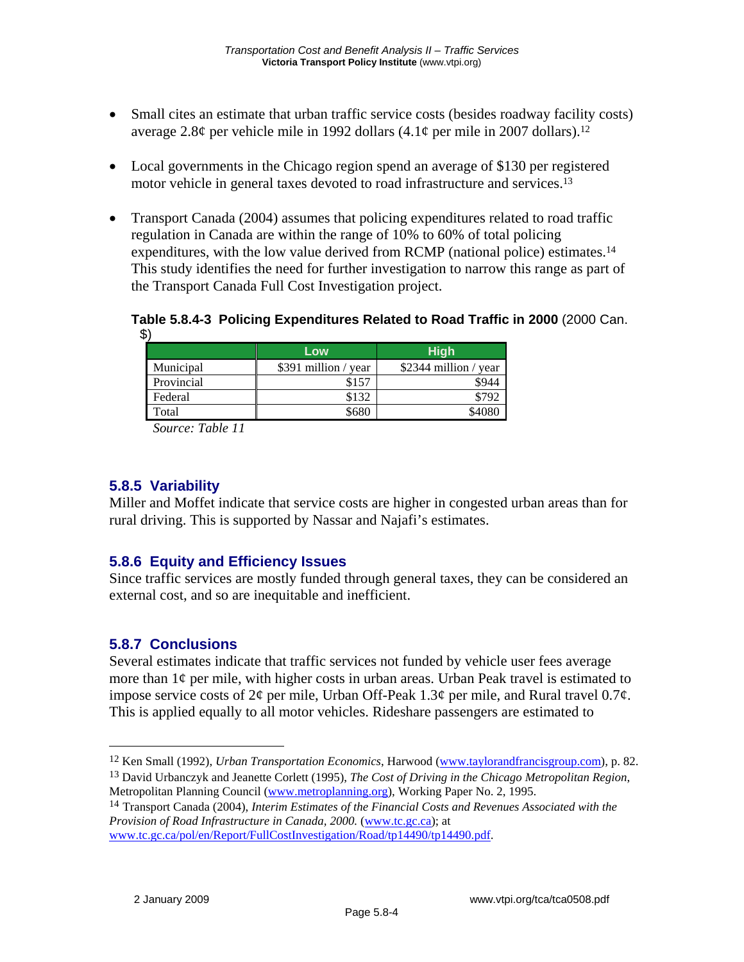- Small cites an estimate that urban traffic service costs (besides roadway facility costs) average 2.8¢ per vehicle mile in 1992 dollars (4.1¢ per mile in 2007 dollars).12
- Local governments in the Chicago region spend an average of \$130 per registered motor vehicle in general taxes devoted to road infrastructure and services.13
- Transport Canada (2004) assumes that policing expenditures related to road traffic regulation in Canada are within the range of 10% to 60% of total policing expenditures, with the low value derived from RCMP (national police) estimates.14 This study identifies the need for further investigation to narrow this range as part of the Transport Canada Full Cost Investigation project.

| Ψ.         |                      |                       |
|------------|----------------------|-----------------------|
|            | Low                  | <b>High</b>           |
| Municipal  | \$391 million / year | \$2344 million / year |
| Provincial | \$157                | 5944                  |
| Federal    | \$132                | \$792                 |
| Total      | \$680                | \$408 <sub>U</sub>    |

#### **Table 5.8.4-3 Policing Expenditures Related to Road Traffic in 2000** (2000 Can.  $\mathcal{L}$

*Source: Table 11* 

# **5.8.5 Variability**

Miller and Moffet indicate that service costs are higher in congested urban areas than for rural driving. This is supported by Nassar and Najafi's estimates.

# **5.8.6 Equity and Efficiency Issues**

Since traffic services are mostly funded through general taxes, they can be considered an external cost, and so are inequitable and inefficient.

# **5.8.7 Conclusions**

 $\overline{a}$ 

Several estimates indicate that traffic services not funded by vehicle user fees average more than  $1\phi$  per mile, with higher costs in urban areas. Urban Peak travel is estimated to impose service costs of  $2\varphi$  per mile, Urban Off-Peak 1.3 $\varphi$  per mile, and Rural travel 0.7 $\varphi$ . This is applied equally to all motor vehicles. Rideshare passengers are estimated to

<sup>12</sup> Ken Small (1992), *Urban Transportation Economics*, Harwood (www.taylorandfrancisgroup.com), p. 82. 13 David Urbanczyk and Jeanette Corlett (1995), *The Cost of Driving in the Chicago Metropolitan Region*, Metropolitan Planning Council (www.metroplanning.org), Working Paper No. 2, 1995.

<sup>14</sup> Transport Canada (2004), *Interim Estimates of the Financial Costs and Revenues Associated with the Provision of Road Infrastructure in Canada, 2000.* (www.tc.gc.ca); at

www.tc.gc.ca/pol/en/Report/FullCostInvestigation/Road/tp14490/tp14490.pdf.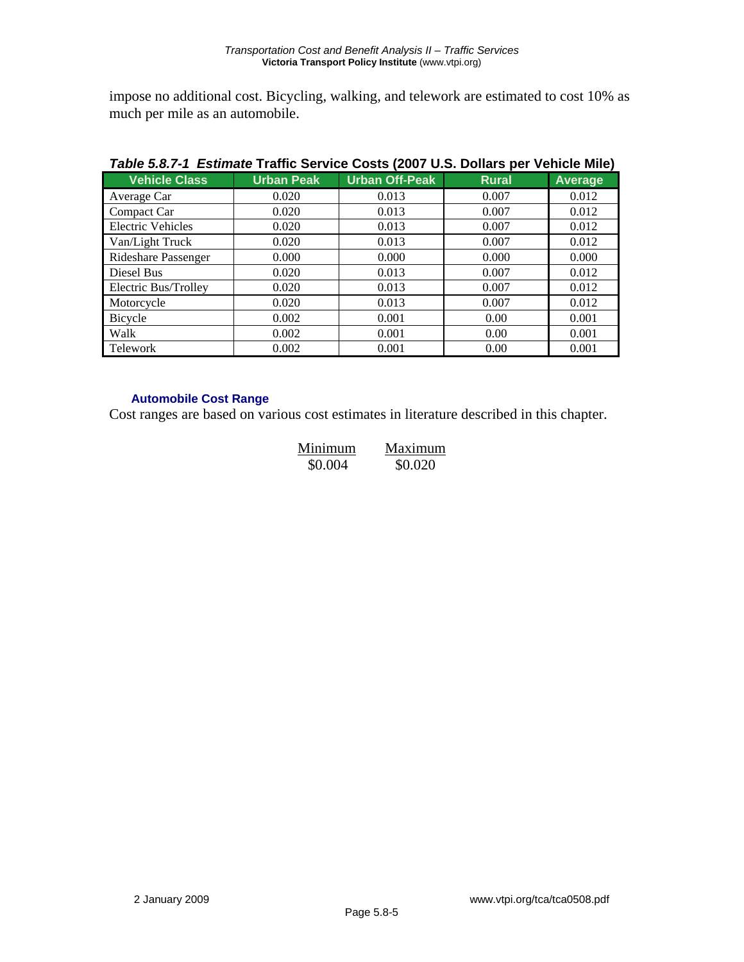impose no additional cost. Bicycling, walking, and telework are estimated to cost 10% as much per mile as an automobile.

| <u>rable J.0.7-1. Estimate Trainc Service Costs (Zuur O.S. Donars per venicle mile)</u> |                   |                       |              |         |
|-----------------------------------------------------------------------------------------|-------------------|-----------------------|--------------|---------|
| <b>Vehicle Class</b>                                                                    | <b>Urban Peak</b> | <b>Urban Off-Peak</b> | <b>Rural</b> | Average |
| Average Car                                                                             | 0.020             | 0.013                 | 0.007        | 0.012   |
| Compact Car                                                                             | 0.020             | 0.013                 | 0.007        | 0.012   |
| <b>Electric Vehicles</b>                                                                | 0.020             | 0.013                 | 0.007        | 0.012   |
| Van/Light Truck                                                                         | 0.020             | 0.013                 | 0.007        | 0.012   |
| Rideshare Passenger                                                                     | 0.000             | 0.000                 | 0.000        | 0.000   |
| Diesel Bus                                                                              | 0.020             | 0.013                 | 0.007        | 0.012   |
| Electric Bus/Trolley                                                                    | 0.020             | 0.013                 | 0.007        | 0.012   |
| Motorcycle                                                                              | 0.020             | 0.013                 | 0.007        | 0.012   |
| Bicycle                                                                                 | 0.002             | 0.001                 | 0.00         | 0.001   |
| Walk                                                                                    | 0.002             | 0.001                 | 0.00         | 0.001   |
| Telework                                                                                | 0.002             | 0.001                 | 0.00         | 0.001   |

# *Table 5.8.7-1 Estimate* **Traffic Service Costs (2007 U.S. Dollars per Vehicle Mile)**

#### **Automobile Cost Range**

Cost ranges are based on various cost estimates in literature described in this chapter.

| Minimum | Maximum |
|---------|---------|
| \$0.004 | \$0.020 |